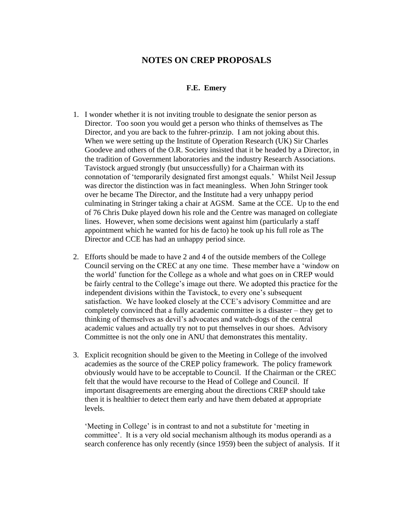## **NOTES ON CREP PROPOSALS**

## **F.E. Emery**

- 1. I wonder whether it is not inviting trouble to designate the senior person as Director. Too soon you would get a person who thinks of themselves as The Director, and you are back to the fuhrer-prinzip. I am not joking about this. When we were setting up the Institute of Operation Research (UK) Sir Charles Goodeve and others of the O.R. Society insisted that it be headed by a Director, in the tradition of Government laboratories and the industry Research Associations. Tavistock argued strongly (but unsuccessfully) for a Chairman with its connotation of 'temporarily designated first amongst equals.' Whilst Neil Jessup was director the distinction was in fact meaningless. When John Stringer took over he became The Director, and the Institute had a very unhappy period culminating in Stringer taking a chair at AGSM. Same at the CCE. Up to the end of 76 Chris Duke played down his role and the Centre was managed on collegiate lines. However, when some decisions went against him (particularly a staff appointment which he wanted for his de facto) he took up his full role as The Director and CCE has had an unhappy period since.
- 2. Efforts should be made to have 2 and 4 of the outside members of the College Council serving on the CREC at any one time. These member have a 'window on the world' function for the College as a whole and what goes on in CREP would be fairly central to the College's image out there. We adopted this practice for the independent divisions within the Tavistock, to every one's subsequent satisfaction. We have looked closely at the CCE's advisory Committee and are completely convinced that a fully academic committee is a disaster – they get to thinking of themselves as devil's advocates and watch-dogs of the central academic values and actually try not to put themselves in our shoes. Advisory Committee is not the only one in ANU that demonstrates this mentality.
- 3. Explicit recognition should be given to the Meeting in College of the involved academies as the source of the CREP policy framework. The policy framework obviously would have to be acceptable to Council. If the Chairman or the CREC felt that the would have recourse to the Head of College and Council. If important disagreements are emerging about the directions CREP should take then it is healthier to detect them early and have them debated at appropriate levels.

'Meeting in College' is in contrast to and not a substitute for 'meeting in committee'. It is a very old social mechanism although its modus operandi as a search conference has only recently (since 1959) been the subject of analysis. If it